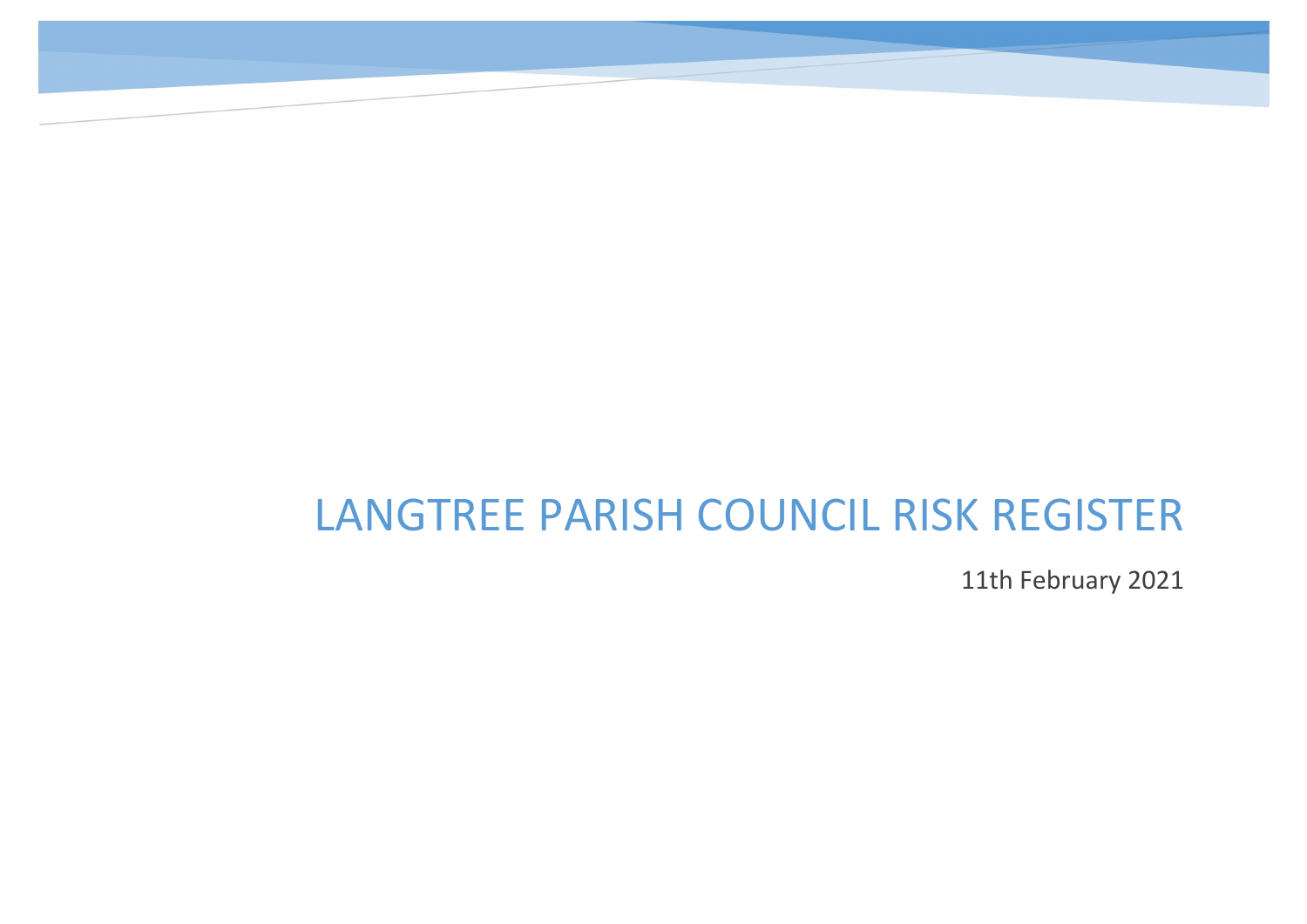11th February 2021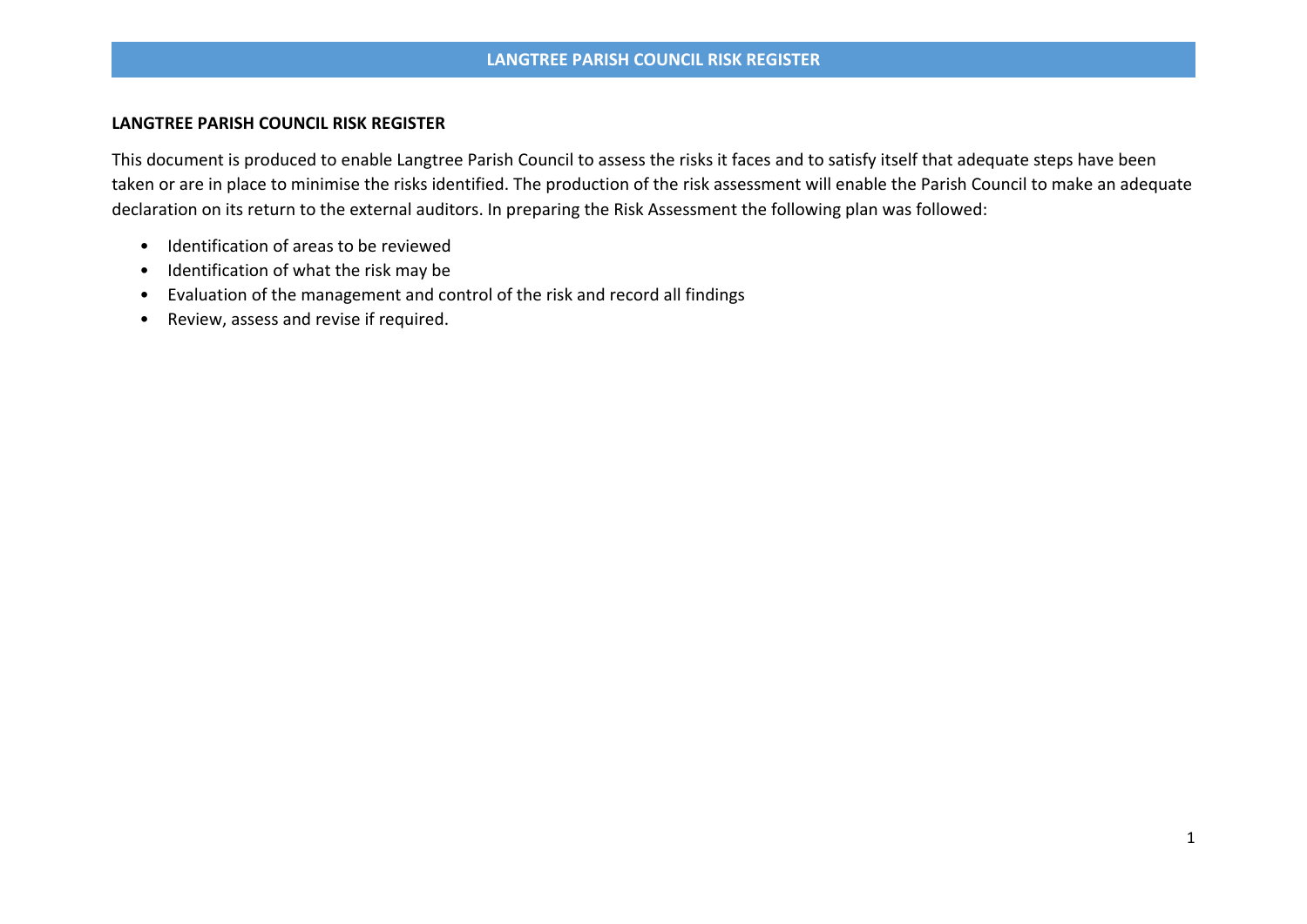This document is produced to enable Langtree Parish Council to assess the risks it faces and to satisfy itself that adequate steps have been taken or are in place to minimise the risks identified. The production of the risk assessment will enable the Parish Council to make an adequate declaration on its return to the external auditors. In preparing the Risk Assessment the following plan was followed:

- Identification of areas to be reviewed
- Identification of what the risk may be
- Evaluation of the management and control of the risk and record all findings
- Review, assess and revise if required.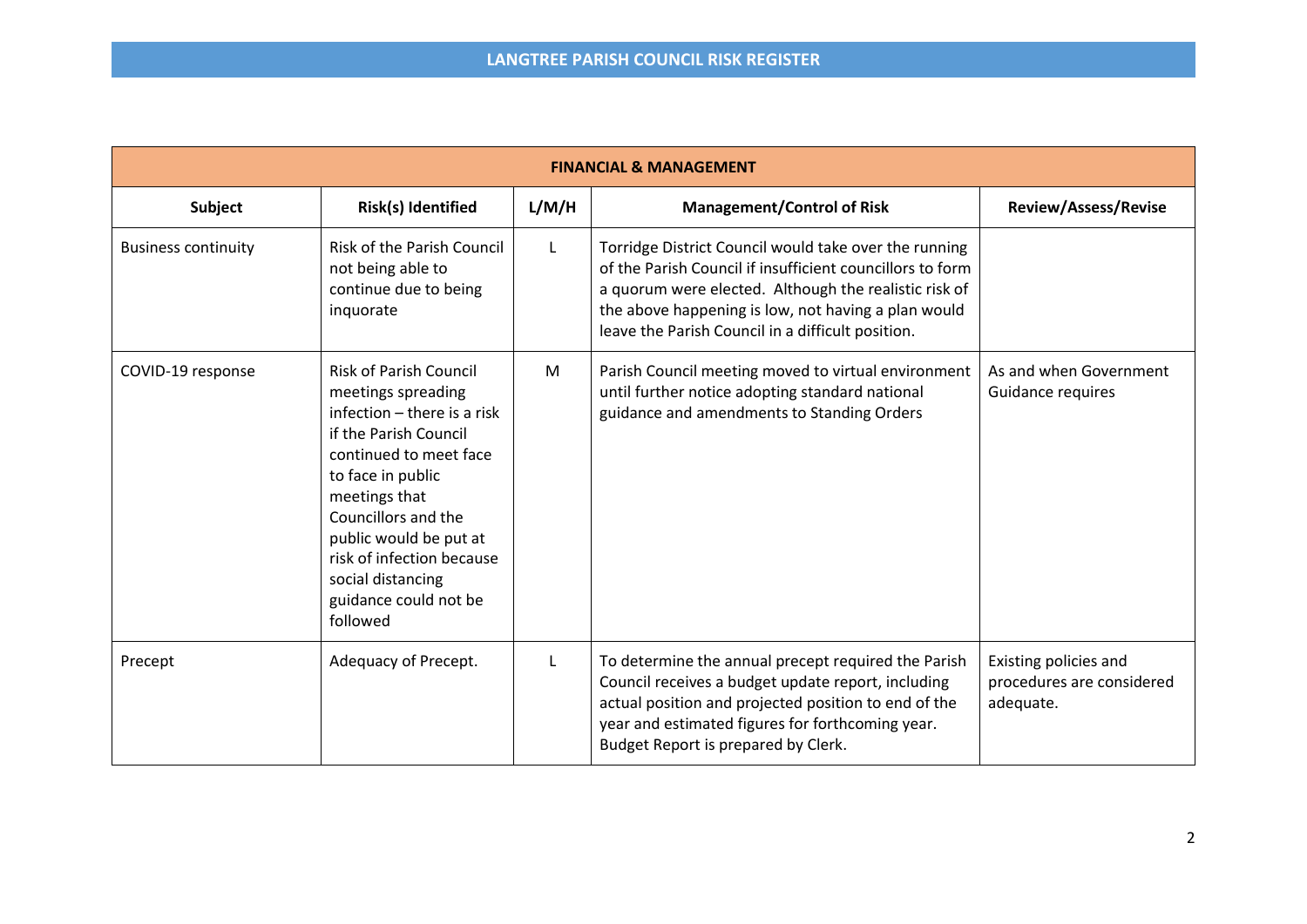| <b>FINANCIAL &amp; MANAGEMENT</b> |                                                                                                                                                                                                                                                                                                                     |       |                                                                                                                                                                                                                                                                                         |                                                                 |  |
|-----------------------------------|---------------------------------------------------------------------------------------------------------------------------------------------------------------------------------------------------------------------------------------------------------------------------------------------------------------------|-------|-----------------------------------------------------------------------------------------------------------------------------------------------------------------------------------------------------------------------------------------------------------------------------------------|-----------------------------------------------------------------|--|
| Subject                           | Risk(s) Identified                                                                                                                                                                                                                                                                                                  | L/M/H | <b>Management/Control of Risk</b>                                                                                                                                                                                                                                                       | <b>Review/Assess/Revise</b>                                     |  |
| <b>Business continuity</b>        | <b>Risk of the Parish Council</b><br>not being able to<br>continue due to being<br>inquorate                                                                                                                                                                                                                        | L     | Torridge District Council would take over the running<br>of the Parish Council if insufficient councillors to form<br>a quorum were elected. Although the realistic risk of<br>the above happening is low, not having a plan would<br>leave the Parish Council in a difficult position. |                                                                 |  |
| COVID-19 response                 | <b>Risk of Parish Council</b><br>meetings spreading<br>infection - there is a risk<br>if the Parish Council<br>continued to meet face<br>to face in public<br>meetings that<br>Councillors and the<br>public would be put at<br>risk of infection because<br>social distancing<br>guidance could not be<br>followed | M     | Parish Council meeting moved to virtual environment<br>until further notice adopting standard national<br>guidance and amendments to Standing Orders                                                                                                                                    | As and when Government<br>Guidance requires                     |  |
| Precept                           | Adequacy of Precept.                                                                                                                                                                                                                                                                                                | L     | To determine the annual precept required the Parish<br>Council receives a budget update report, including<br>actual position and projected position to end of the<br>year and estimated figures for forthcoming year.<br>Budget Report is prepared by Clerk.                            | Existing policies and<br>procedures are considered<br>adequate. |  |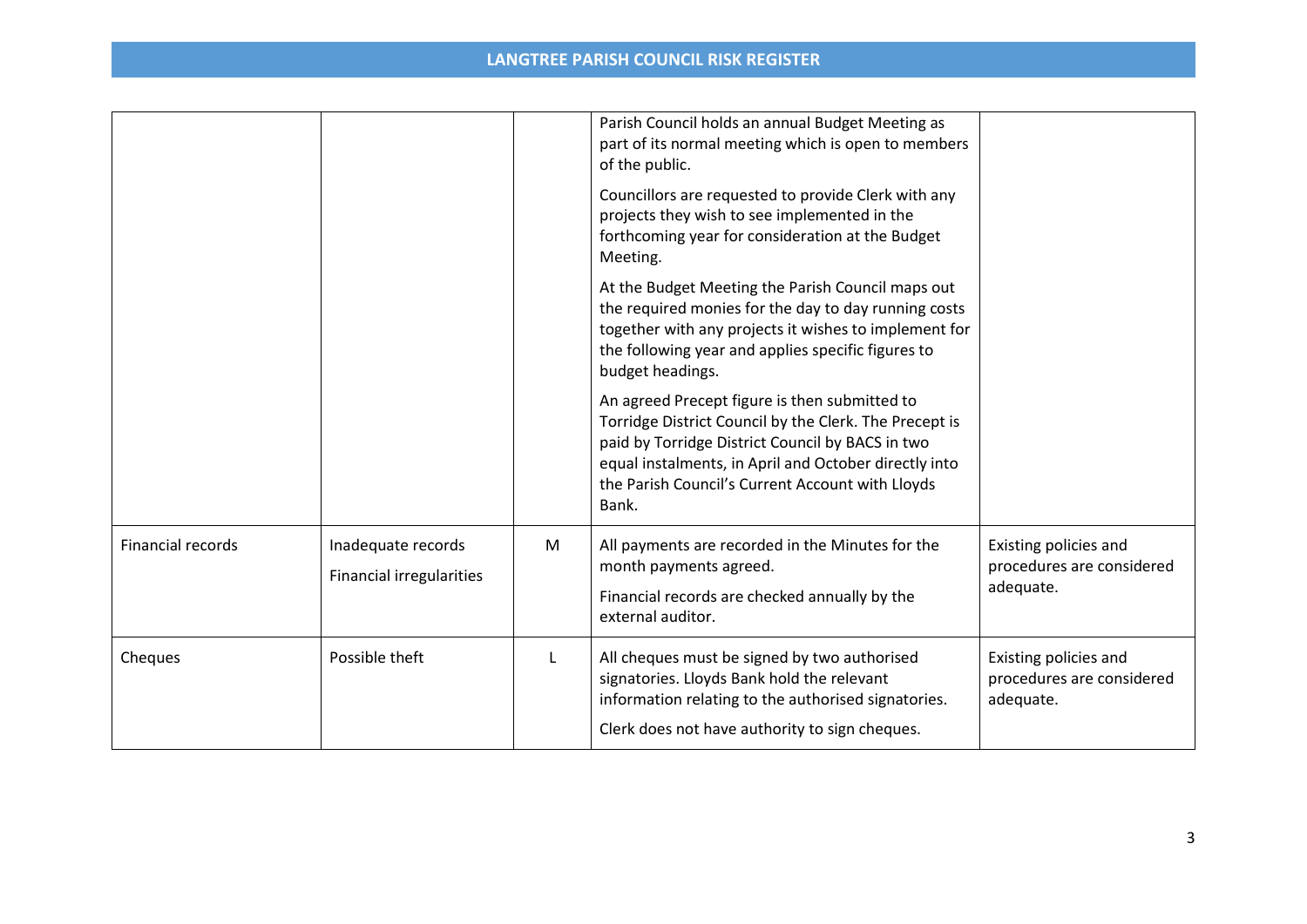|                   |                                                       |    | Parish Council holds an annual Budget Meeting as<br>part of its normal meeting which is open to members<br>of the public.                                                                                                                                                         |                                                                 |
|-------------------|-------------------------------------------------------|----|-----------------------------------------------------------------------------------------------------------------------------------------------------------------------------------------------------------------------------------------------------------------------------------|-----------------------------------------------------------------|
|                   |                                                       |    | Councillors are requested to provide Clerk with any<br>projects they wish to see implemented in the<br>forthcoming year for consideration at the Budget<br>Meeting.                                                                                                               |                                                                 |
|                   |                                                       |    | At the Budget Meeting the Parish Council maps out<br>the required monies for the day to day running costs<br>together with any projects it wishes to implement for<br>the following year and applies specific figures to<br>budget headings.                                      |                                                                 |
|                   |                                                       |    | An agreed Precept figure is then submitted to<br>Torridge District Council by the Clerk. The Precept is<br>paid by Torridge District Council by BACS in two<br>equal instalments, in April and October directly into<br>the Parish Council's Current Account with Lloyds<br>Bank. |                                                                 |
| Financial records | Inadequate records<br><b>Financial irregularities</b> | M  | All payments are recorded in the Minutes for the<br>month payments agreed.<br>Financial records are checked annually by the<br>external auditor.                                                                                                                                  | Existing policies and<br>procedures are considered<br>adequate. |
| Cheques           | Possible theft                                        | L. | All cheques must be signed by two authorised<br>signatories. Lloyds Bank hold the relevant<br>information relating to the authorised signatories.<br>Clerk does not have authority to sign cheques.                                                                               | Existing policies and<br>procedures are considered<br>adequate. |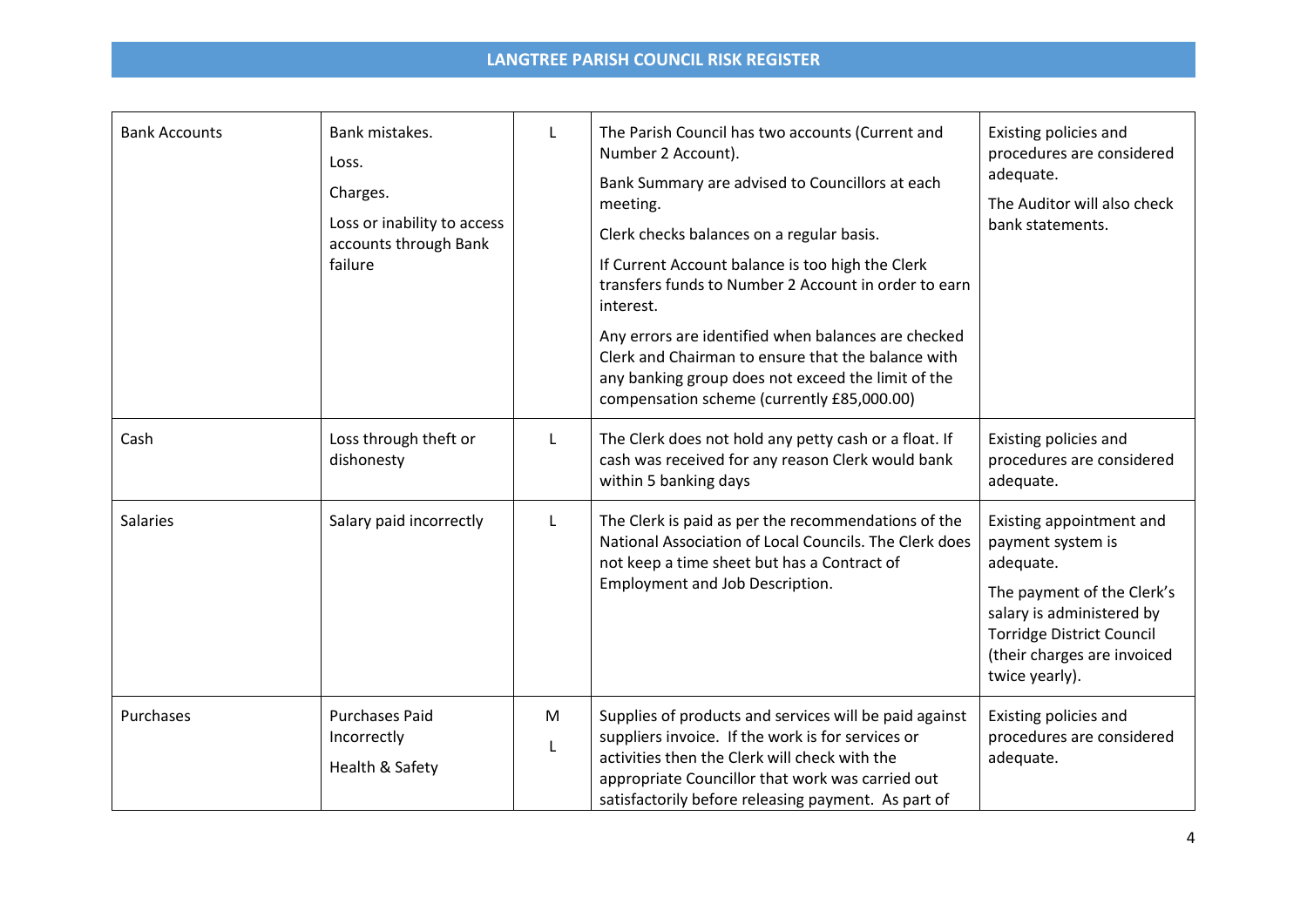| <b>Bank Accounts</b> | Bank mistakes.<br>Loss.<br>Charges.<br>Loss or inability to access<br>accounts through Bank<br>failure | L      | The Parish Council has two accounts (Current and<br>Number 2 Account).<br>Bank Summary are advised to Councillors at each<br>meeting.<br>Clerk checks balances on a regular basis.<br>If Current Account balance is too high the Clerk<br>transfers funds to Number 2 Account in order to earn<br>interest.<br>Any errors are identified when balances are checked<br>Clerk and Chairman to ensure that the balance with<br>any banking group does not exceed the limit of the<br>compensation scheme (currently £85,000.00) | Existing policies and<br>procedures are considered<br>adequate.<br>The Auditor will also check<br>bank statements.                                                                                         |
|----------------------|--------------------------------------------------------------------------------------------------------|--------|------------------------------------------------------------------------------------------------------------------------------------------------------------------------------------------------------------------------------------------------------------------------------------------------------------------------------------------------------------------------------------------------------------------------------------------------------------------------------------------------------------------------------|------------------------------------------------------------------------------------------------------------------------------------------------------------------------------------------------------------|
| Cash                 | Loss through theft or<br>dishonesty                                                                    | L      | The Clerk does not hold any petty cash or a float. If<br>cash was received for any reason Clerk would bank<br>within 5 banking days                                                                                                                                                                                                                                                                                                                                                                                          | Existing policies and<br>procedures are considered<br>adequate.                                                                                                                                            |
| <b>Salaries</b>      | Salary paid incorrectly                                                                                | L      | The Clerk is paid as per the recommendations of the<br>National Association of Local Councils. The Clerk does<br>not keep a time sheet but has a Contract of<br>Employment and Job Description.                                                                                                                                                                                                                                                                                                                              | Existing appointment and<br>payment system is<br>adequate.<br>The payment of the Clerk's<br>salary is administered by<br><b>Torridge District Council</b><br>(their charges are invoiced<br>twice yearly). |
| Purchases            | <b>Purchases Paid</b><br>Incorrectly<br>Health & Safety                                                | M<br>L | Supplies of products and services will be paid against<br>suppliers invoice. If the work is for services or<br>activities then the Clerk will check with the<br>appropriate Councillor that work was carried out<br>satisfactorily before releasing payment. As part of                                                                                                                                                                                                                                                      | Existing policies and<br>procedures are considered<br>adequate.                                                                                                                                            |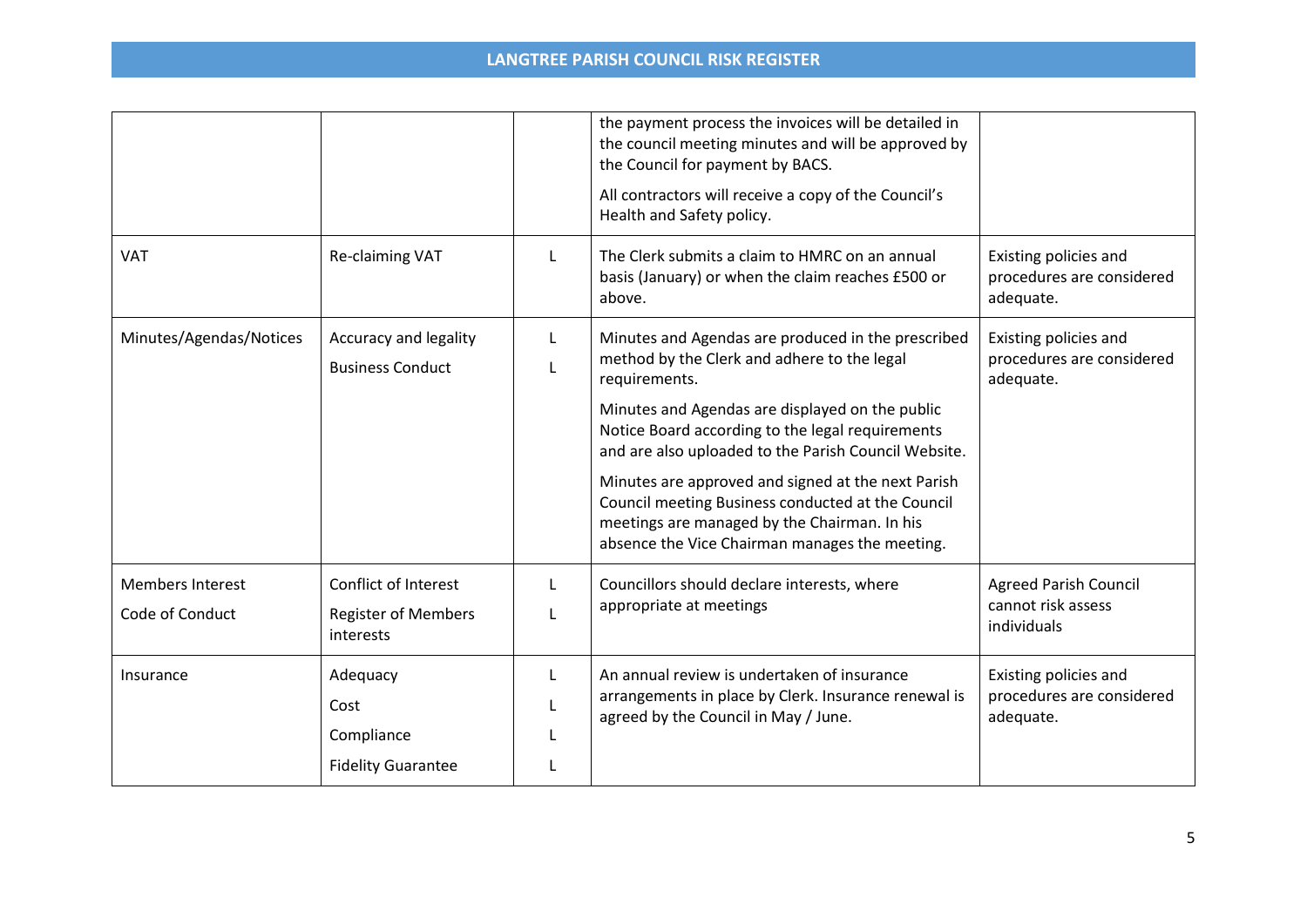|                         |                                                  |        | the payment process the invoices will be detailed in<br>the council meeting minutes and will be approved by<br>the Council for payment by BACS.<br>All contractors will receive a copy of the Council's<br>Health and Safety policy. |                                                                 |
|-------------------------|--------------------------------------------------|--------|--------------------------------------------------------------------------------------------------------------------------------------------------------------------------------------------------------------------------------------|-----------------------------------------------------------------|
| <b>VAT</b>              | Re-claiming VAT                                  | L      | The Clerk submits a claim to HMRC on an annual<br>basis (January) or when the claim reaches £500 or<br>above.                                                                                                                        | Existing policies and<br>procedures are considered<br>adequate. |
| Minutes/Agendas/Notices | Accuracy and legality<br><b>Business Conduct</b> | L<br>L | Minutes and Agendas are produced in the prescribed<br>method by the Clerk and adhere to the legal<br>requirements.                                                                                                                   | Existing policies and<br>procedures are considered<br>adequate. |
|                         |                                                  |        | Minutes and Agendas are displayed on the public<br>Notice Board according to the legal requirements<br>and are also uploaded to the Parish Council Website.                                                                          |                                                                 |
|                         |                                                  |        | Minutes are approved and signed at the next Parish<br>Council meeting Business conducted at the Council<br>meetings are managed by the Chairman. In his<br>absence the Vice Chairman manages the meeting.                            |                                                                 |
| <b>Members Interest</b> | Conflict of Interest                             | L      | Councillors should declare interests, where                                                                                                                                                                                          | <b>Agreed Parish Council</b>                                    |
| Code of Conduct         | <b>Register of Members</b><br>interests          | L      | appropriate at meetings                                                                                                                                                                                                              | cannot risk assess<br>individuals                               |
| Insurance               | Adequacy                                         | L      | An annual review is undertaken of insurance                                                                                                                                                                                          | Existing policies and                                           |
|                         | Cost                                             |        | arrangements in place by Clerk. Insurance renewal is<br>agreed by the Council in May / June.                                                                                                                                         | procedures are considered<br>adequate.                          |
|                         | Compliance                                       |        |                                                                                                                                                                                                                                      |                                                                 |
|                         | <b>Fidelity Guarantee</b>                        |        |                                                                                                                                                                                                                                      |                                                                 |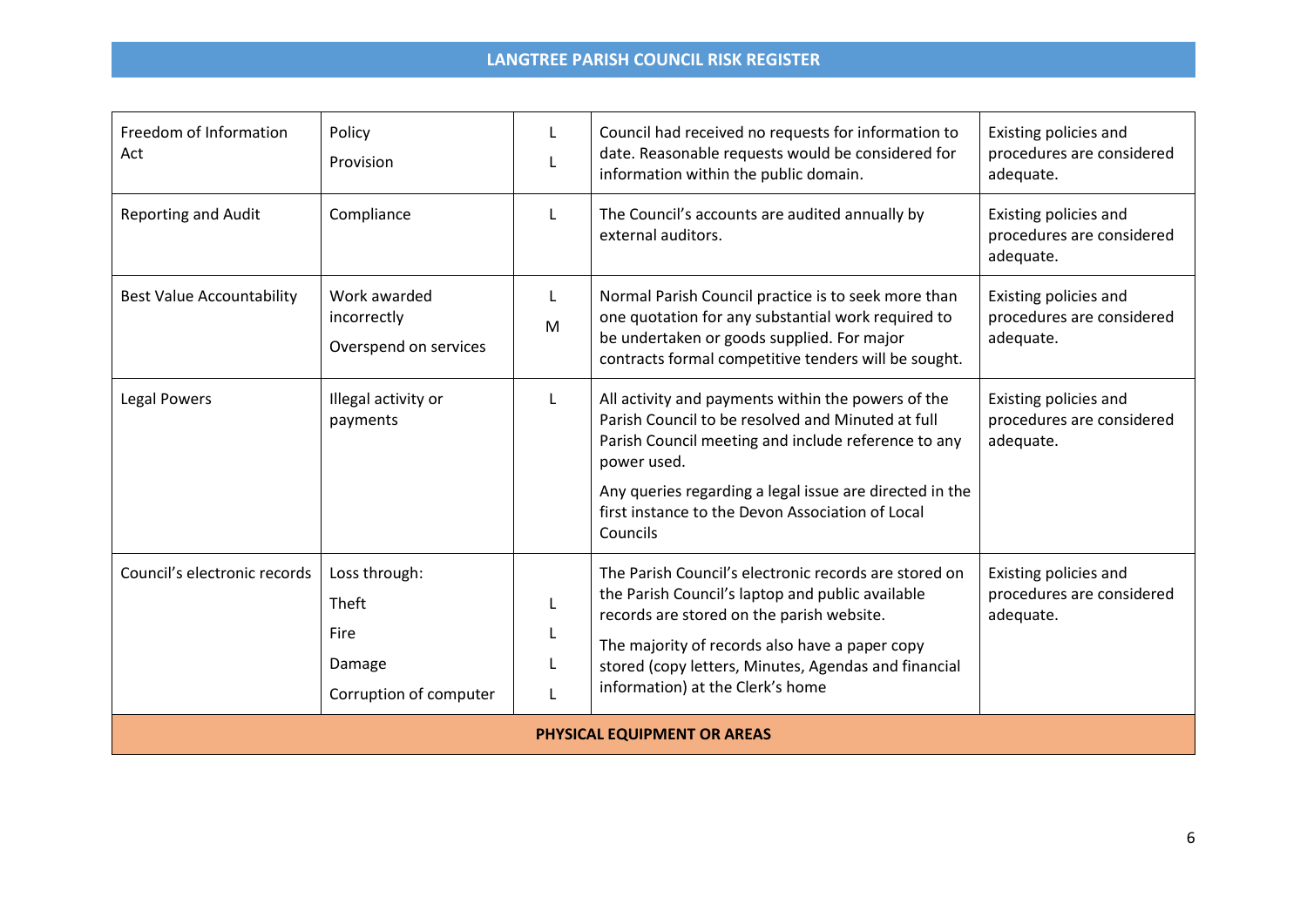| Freedom of Information<br>Act    | Policy<br>Provision                                                | L                | Council had received no requests for information to<br>date. Reasonable requests would be considered for<br>information within the public domain.                                                                                                                                                        | Existing policies and<br>procedures are considered<br>adequate. |
|----------------------------------|--------------------------------------------------------------------|------------------|----------------------------------------------------------------------------------------------------------------------------------------------------------------------------------------------------------------------------------------------------------------------------------------------------------|-----------------------------------------------------------------|
| <b>Reporting and Audit</b>       | Compliance                                                         | L                | The Council's accounts are audited annually by<br>external auditors.                                                                                                                                                                                                                                     | Existing policies and<br>procedures are considered<br>adequate. |
| <b>Best Value Accountability</b> | Work awarded<br>incorrectly<br>Overspend on services               | L<br>M           | Normal Parish Council practice is to seek more than<br>one quotation for any substantial work required to<br>be undertaken or goods supplied. For major<br>contracts formal competitive tenders will be sought.                                                                                          | Existing policies and<br>procedures are considered<br>adequate. |
| <b>Legal Powers</b>              | Illegal activity or<br>payments                                    | L                | All activity and payments within the powers of the<br>Parish Council to be resolved and Minuted at full<br>Parish Council meeting and include reference to any<br>power used.<br>Any queries regarding a legal issue are directed in the<br>first instance to the Devon Association of Local<br>Councils | Existing policies and<br>procedures are considered<br>adequate. |
| Council's electronic records     | Loss through:<br>Theft<br>Fire<br>Damage<br>Corruption of computer | L<br>L<br>L<br>L | The Parish Council's electronic records are stored on<br>the Parish Council's laptop and public available<br>records are stored on the parish website.<br>The majority of records also have a paper copy<br>stored (copy letters, Minutes, Agendas and financial<br>information) at the Clerk's home     | Existing policies and<br>procedures are considered<br>adequate. |
| PHYSICAL EQUIPMENT OR AREAS      |                                                                    |                  |                                                                                                                                                                                                                                                                                                          |                                                                 |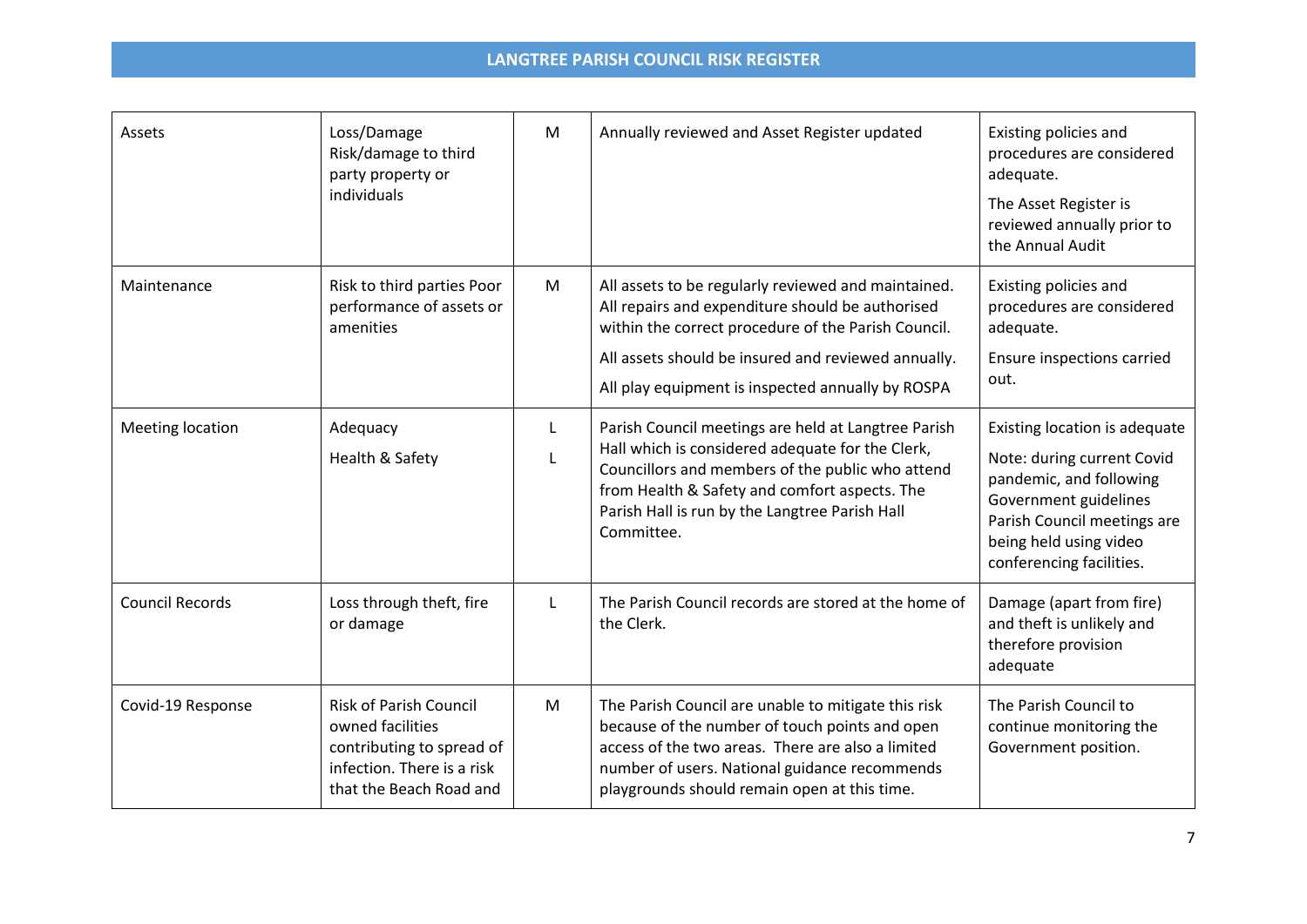| Assets                  | Loss/Damage<br>Risk/damage to third<br>party property or<br>individuals                                                                 | M      | Annually reviewed and Asset Register updated                                                                                                                                                                                                                                 | Existing policies and<br>procedures are considered<br>adequate.<br>The Asset Register is<br>reviewed annually prior to<br>the Annual Audit                                                           |
|-------------------------|-----------------------------------------------------------------------------------------------------------------------------------------|--------|------------------------------------------------------------------------------------------------------------------------------------------------------------------------------------------------------------------------------------------------------------------------------|------------------------------------------------------------------------------------------------------------------------------------------------------------------------------------------------------|
| Maintenance             | Risk to third parties Poor<br>performance of assets or<br>amenities                                                                     | M      | All assets to be regularly reviewed and maintained.<br>All repairs and expenditure should be authorised<br>within the correct procedure of the Parish Council.<br>All assets should be insured and reviewed annually.<br>All play equipment is inspected annually by ROSPA   | Existing policies and<br>procedures are considered<br>adequate.<br>Ensure inspections carried<br>out.                                                                                                |
| <b>Meeting location</b> | Adequacy<br>Health & Safety                                                                                                             | L<br>L | Parish Council meetings are held at Langtree Parish<br>Hall which is considered adequate for the Clerk,<br>Councillors and members of the public who attend<br>from Health & Safety and comfort aspects. The<br>Parish Hall is run by the Langtree Parish Hall<br>Committee. | Existing location is adequate<br>Note: during current Covid<br>pandemic, and following<br>Government guidelines<br>Parish Council meetings are<br>being held using video<br>conferencing facilities. |
| <b>Council Records</b>  | Loss through theft, fire<br>or damage                                                                                                   | Г      | The Parish Council records are stored at the home of<br>the Clerk.                                                                                                                                                                                                           | Damage (apart from fire)<br>and theft is unlikely and<br>therefore provision<br>adequate                                                                                                             |
| Covid-19 Response       | <b>Risk of Parish Council</b><br>owned facilities<br>contributing to spread of<br>infection. There is a risk<br>that the Beach Road and | M      | The Parish Council are unable to mitigate this risk<br>because of the number of touch points and open<br>access of the two areas. There are also a limited<br>number of users. National guidance recommends<br>playgrounds should remain open at this time.                  | The Parish Council to<br>continue monitoring the<br>Government position.                                                                                                                             |